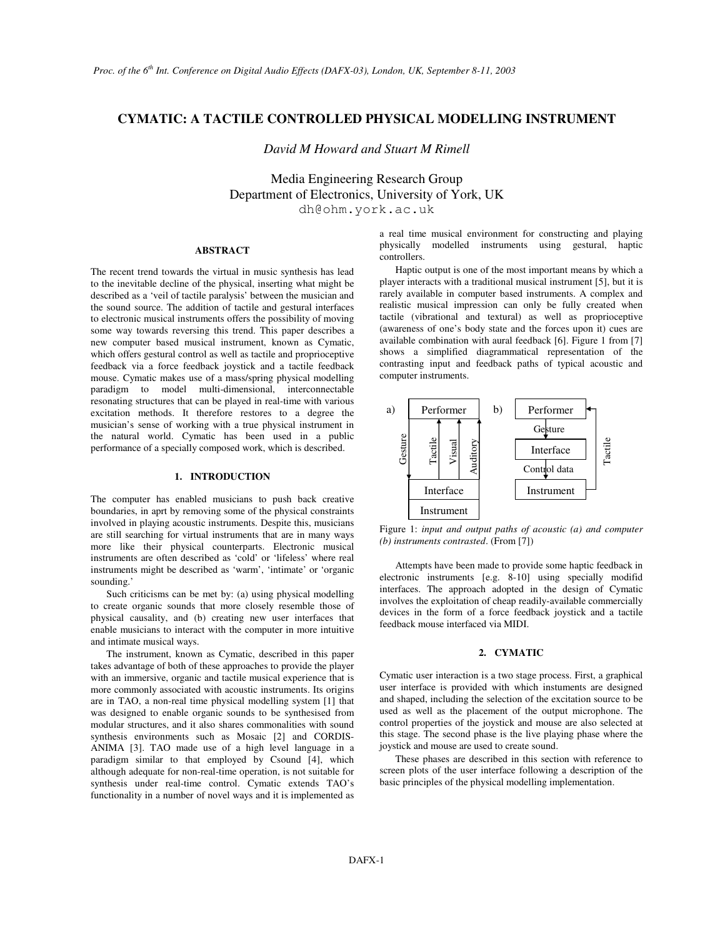# **CYMATIC: A TACTILE CONTROLLED PHYSICAL MODELLING INSTRUMENT**

*David M Howard and Stuart M Rimell*

Media Engineering Research Group Department of Electronics, University of York, UK dh@ohm.york.ac.uk

#### **ABSTRACT**

The recent trend towards the virtual in music synthesis has lead to the inevitable decline of the physical, inserting what might be described as a 'veil of tactile paralysis' between the musician and the sound source. The addition of tactile and gestural interfaces to electronic musical instruments offers the possibility of moving some way towards reversing this trend. This paper describes a new computer based musical instrument, known as Cymatic, which offers gestural control as well as tactile and proprioceptive feedback via a force feedback joystick and a tactile feedback mouse. Cymatic makes use of a mass/spring physical modelling paradigm to model multi-dimensional, interconnectable resonating structures that can be played in real-time with various excitation methods. It therefore restores to a degree the musician's sense of working with a true physical instrument in the natural world. Cymatic has been used in a public performance of a specially composed work, which is described.

## **1. INTRODUCTION**

The computer has enabled musicians to push back creative boundaries, in aprt by removing some of the physical constraints involved in playing acoustic instruments. Despite this, musicians are still searching for virtual instruments that are in many ways more like their physical counterparts. Electronic musical instruments are often described as 'cold' or 'lifeless' where real instruments might be described as 'warm', 'intimate' or 'organic sounding.'

Such criticisms can be met by: (a) using physical modelling to create organic sounds that more closely resemble those of physical causality, and (b) creating new user interfaces that enable musicians to interact with the computer in more intuitive and intimate musical ways.

The instrument, known as Cymatic, described in this paper takes advantage of both of these approaches to provide the player with an immersive, organic and tactile musical experience that is more commonly associated with acoustic instruments. Its origins are in TAO, a non-real time physical modelling system [1] that was designed to enable organic sounds to be synthesised from modular structures, and it also shares commonalities with sound synthesis environments such as Mosaic [2] and CORDIS-ANIMA [3]. TAO made use of a high level language in a paradigm similar to that employed by Csound [4], which although adequate for non-real-time operation, is not suitable for synthesis under real-time control. Cymatic extends TAO's functionality in a number of novel ways and it is implemented as a real time musical environment for constructing and playing physically modelled instruments using gestural, haptic controllers.

Haptic output is one of the most important means by which a player interacts with a traditional musical instrument [5], but it is rarely available in computer based instruments. A complex and realistic musical impression can only be fully created when tactile (vibrational and textural) as well as proprioceptive (awareness of one's body state and the forces upon it) cues are available combination with aural feedback [6]. Figure 1 from [7] shows a simplified diagrammatical representation of the contrasting input and feedback paths of typical acoustic and computer instruments.



Figure 1: *input and output paths of acoustic (a) and computer (b) instruments contrasted*. (From [7])

Attempts have been made to provide some haptic feedback in electronic instruments [e.g. 8-10] using specially modifid interfaces. The approach adopted in the design of Cymatic involves the exploitation of cheap readily-available commercially devices in the form of a force feedback joystick and a tactile feedback mouse interfaced via MIDI.

## **2. CYMATIC**

Cymatic user interaction is a two stage process. First, a graphical user interface is provided with which instuments are designed and shaped, including the selection of the excitation source to be used as well as the placement of the output microphone. The control properties of the joystick and mouse are also selected at this stage. The second phase is the live playing phase where the joystick and mouse are used to create sound.

These phases are described in this section with reference to screen plots of the user interface following a description of the basic principles of the physical modelling implementation.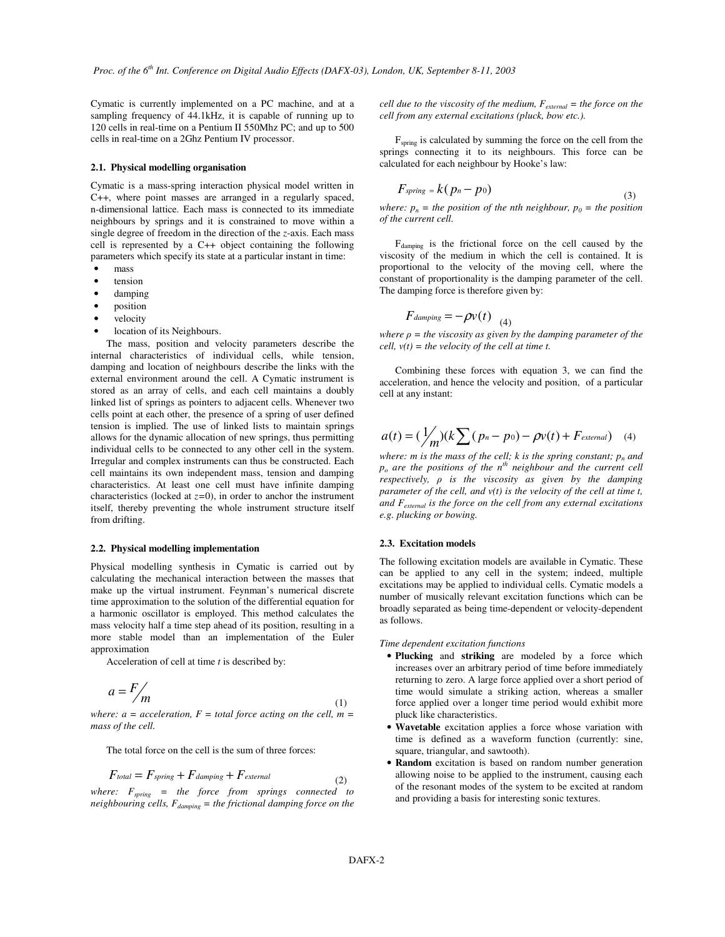Cymatic is currently implemented on a PC machine, and at a sampling frequency of 44.1kHz, it is capable of running up to 120 cells in real-time on a Pentium II 550Mhz PC; and up to 500 cells in real-time on a 2Ghz Pentium IV processor.

### **2.1. Physical modelling organisation**

Cymatic is a mass-spring interaction physical model written in C++, where point masses are arranged in a regularly spaced, n-dimensional lattice. Each mass is connected to its immediate neighbours by springs and it is constrained to move within a single degree of freedom in the direction of the *z*-axis. Each mass cell is represented by a C++ object containing the following parameters which specify its state at a particular instant in time:

- mass
- tension
- damping
- position
- velocity
- location of its Neighbours.

The mass, position and velocity parameters describe the internal characteristics of individual cells, while tension, damping and location of neighbours describe the links with the external environment around the cell. A Cymatic instrument is stored as an array of cells, and each cell maintains a doubly linked list of springs as pointers to adjacent cells. Whenever two cells point at each other, the presence of a spring of user defined tension is implied. The use of linked lists to maintain springs allows for the dynamic allocation of new springs, thus permitting individual cells to be connected to any other cell in the system. Irregular and complex instruments can thus be constructed. Each cell maintains its own independent mass, tension and damping characteristics. At least one cell must have infinite damping characteristics (locked at  $z=0$ ), in order to anchor the instrument itself, thereby preventing the whole instrument structure itself from drifting.

#### **2.2. Physical modelling implementation**

Physical modelling synthesis in Cymatic is carried out by calculating the mechanical interaction between the masses that make up the virtual instrument. Feynman's numerical discrete time approximation to the solution of the differential equation for a harmonic oscillator is employed. This method calculates the mass velocity half a time step ahead of its position, resulting in a more stable model than an implementation of the Euler approximation

Acceleration of cell at time *t* is described by:

$$
a = F/m \tag{1}
$$

*where:*  $a = acceleration, F = total force on the cell, m =$ *mass of the cell.*

The total force on the cell is the sum of three forces:

$$
F_{total} = F_{spring} + F_{damping} + F_{external}
$$

*where: Fspring = the force from springs connected to neighbouring cells, Fdamping = the frictional damping force on the* *cell due to the viscosity of the medium, Fexternal = the force on the cell from any external excitations (pluck, bow etc.).*

F<sub>spring</sub> is calculated by summing the force on the cell from the springs connecting it to its neighbours. This force can be calculated for each neighbour by Hooke's law:

$$
F_{spring} = k(p_n - p_0) \tag{3}
$$

*where:*  $p_n =$  *the position of the nth neighbour,*  $p_0 =$  *the position of the current cell.*

F<sub>damping</sub> is the frictional force on the cell caused by the viscosity of the medium in which the cell is contained. It is proportional to the velocity of the moving cell, where the constant of proportionality is the damping parameter of the cell. The damping force is therefore given by:

$$
F_{damping} = -\rho v(t) \quad (4)
$$

*where*  $\rho =$  *the viscosity as given by the damping parameter of the cell, v(t) = the velocity of the cell at time t.*

Combining these forces with equation 3, we can find the acceleration, and hence the velocity and position, of a particular cell at any instant:

$$
a(t) = (\frac{1}{m})(k \sum (p_n - p_0) - \rho v(t) + F_{external}) \quad (4)
$$

*where: m is the mass of the cell; k is the spring constant;*  $p_n$  *and p<sup>o</sup> are the positions of the n th neighbour and the current cell respectively, is the viscosity as given by the damping parameter of the cell, and v(t) is the velocity of the cell at time t, and Fexternal is the force on the cell from any external excitations e.g. plucking or bowing.*

### **2.3. Excitation models**

The following excitation models are available in Cymatic. These can be applied to any cell in the system; indeed, multiple excitations may be applied to individual cells. Cymatic models a number of musically relevant excitation functions which can be broadly separated as being time-dependent or velocity-dependent as follows.

*Time dependent excitation functions*

- **Plucking** and **striking** are modeled by a force which increases over an arbitrary period of time before immediately returning to zero. A large force applied over a short period of time would simulate a striking action, whereas a smaller force applied over a longer time period would exhibit more pluck like characteristics.
- **Wavetable** excitation applies a force whose variation with time is defined as a waveform function (currently: sine, square, triangular, and sawtooth).
- **Random** excitation is based on random number generation allowing noise to be applied to the instrument, causing each of the resonant modes of the system to be excited at random and providing a basis for interesting sonic textures.

(2)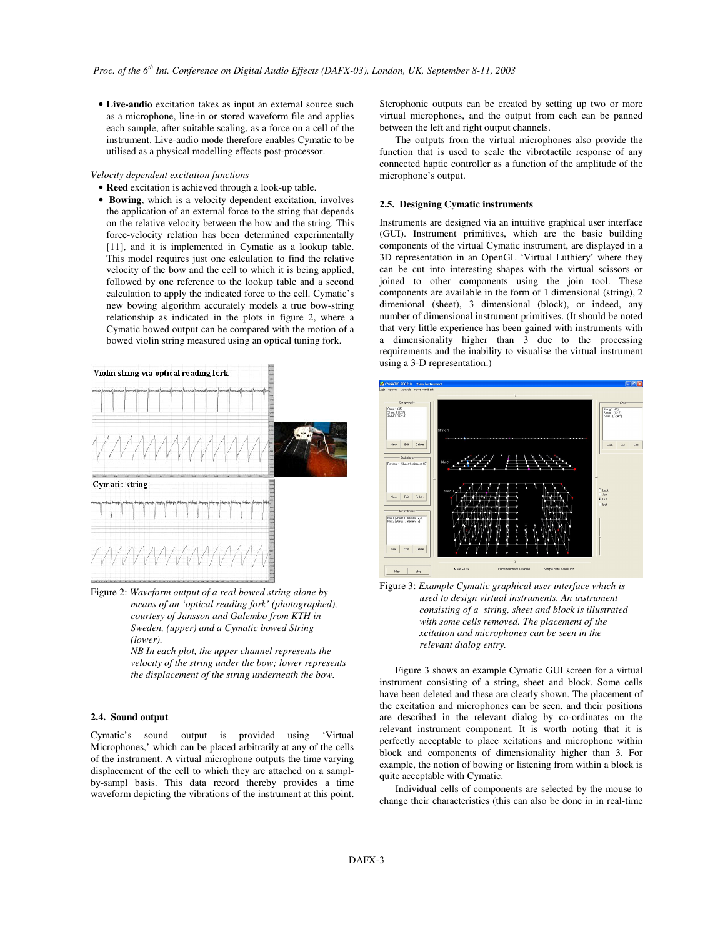• **Live-audio** excitation takes as input an external source such as a microphone, line-in or stored waveform file and applies each sample, after suitable scaling, as a force on a cell of the instrument. Live-audio mode therefore enables Cymatic to be utilised as a physical modelling effects post-processor.

#### *Velocity dependent excitation functions*

• **Reed** excitation is achieved through a look-up table.

• **Bowing**, which is a velocity dependent excitation, involves the application of an external force to the string that depends on the relative velocity between the bow and the string. This force-velocity relation has been determined experimentally [11], and it is implemented in Cymatic as a lookup table. This model requires just one calculation to find the relative velocity of the bow and the cell to which it is being applied, followed by one reference to the lookup table and a second calculation to apply the indicated force to the cell. Cymatic's new bowing algorithm accurately models a true bow-string relationship as indicated in the plots in figure 2, where a Cymatic bowed output can be compared with the motion of a bowed violin string measured using an optical tuning fork.



Figure 2: *Waveform output of a real bowed string alone by means of an 'optical reading fork' (photographed), courtesy of Jansson and Galembo from KTH in Sweden, (upper) and a Cymatic bowed String (lower).*

*NB In each plot, the upper channel represents the velocity of the string under the bow; lower represents the displacement of the string underneath the bow.*

#### **2.4. Sound output**

Cymatic's sound output is provided using 'Virtual Microphones,' which can be placed arbitrarily at any of the cells of the instrument. A virtual microphone outputs the time varying displacement of the cell to which they are attached on a samplby-sampl basis. This data record thereby provides a time waveform depicting the vibrations of the instrument at this point. Sterophonic outputs can be created by setting up two or more virtual microphones, and the output from each can be panned between the left and right output channels.

The outputs from the virtual microphones also provide the function that is used to scale the vibrotactile response of any connected haptic controller as a function of the amplitude of the microphone's output.

#### **2.5. Designing Cymatic instruments**

Instruments are designed via an intuitive graphical user interface (GUI). Instrument primitives, which are the basic building components of the virtual Cymatic instrument, are displayed in a 3D representation in an OpenGL 'Virtual Luthiery' where they can be cut into interesting shapes with the virtual scissors or joined to other components using the join tool. These components are available in the form of 1 dimensional (string), 2 dimenional (sheet), 3 dimensional (block), or indeed, any number of dimensional instrument primitives. (It should be noted that very little experience has been gained with instruments with a dimensionality higher than 3 due to the processing requirements and the inability to visualise the virtual instrument using a 3-D representation.)



Figure 3: *Example Cymatic graphical user interface which is used to design virtual instruments. An instrument consisting of a string, sheet and block is illustrated with some cells removed. The placement of the xcitation and microphones can be seen in the relevant dialog entry.*

Figure 3 shows an example Cymatic GUI screen for a virtual instrument consisting of a string, sheet and block. Some cells have been deleted and these are clearly shown. The placement of the excitation and microphones can be seen, and their positions are described in the relevant dialog by co-ordinates on the relevant instrument component. It is worth noting that it is perfectly acceptable to place xcitations and microphone within block and components of dimensionality higher than 3. For example, the notion of bowing or listening from within a block is quite acceptable with Cymatic.

Individual cells of components are selected by the mouse to change their characteristics (this can also be done in in real-time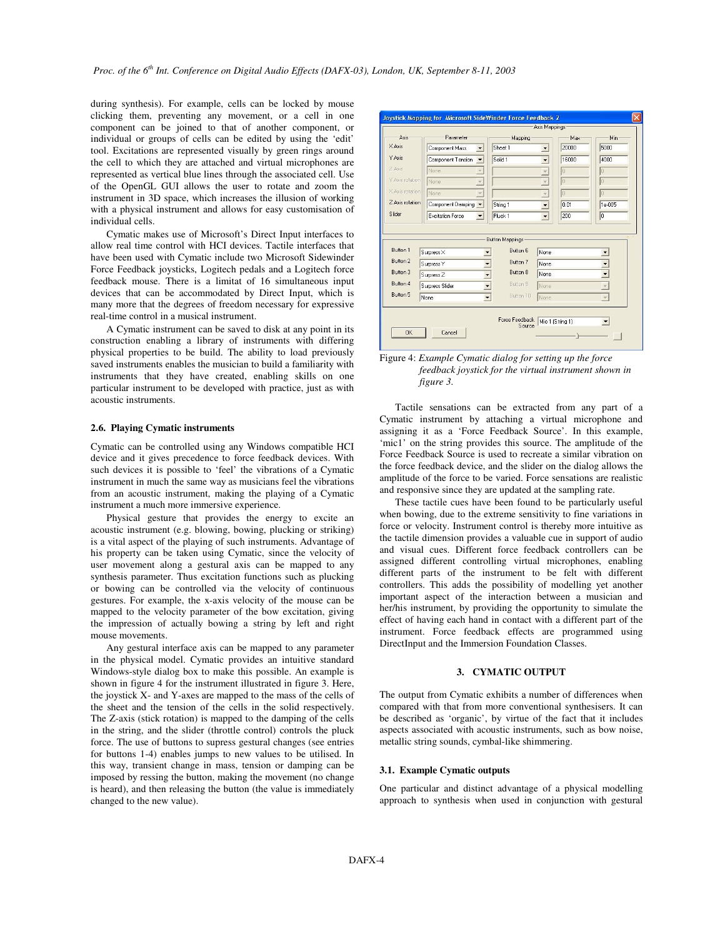during synthesis). For example, cells can be locked by mouse clicking them, preventing any movement, or a cell in one component can be joined to that of another component, or individual or groups of cells can be edited by using the 'edit' tool. Excitations are represented visually by green rings around the cell to which they are attached and virtual microphones are represented as vertical blue lines through the associated cell. Use of the OpenGL GUI allows the user to rotate and zoom the instrument in 3D space, which increases the illusion of working with a physical instrument and allows for easy customisation of individual cells.

Cymatic makes use of Microsoft's Direct Input interfaces to allow real time control with HCI devices. Tactile interfaces that have been used with Cymatic include two Microsoft Sidewinder Force Feedback joysticks, Logitech pedals and a Logitech force feedback mouse. There is a limitat of 16 simultaneous input devices that can be accommodated by Direct Input, which is many more that the degrees of freedom necessary for expressive real-time control in a musical instrument.

A Cymatic instrument can be saved to disk at any point in its construction enabling a library of instruments with differing physical properties to be build. The ability to load previously saved instruments enables the musician to build a familiarity with instruments that they have created, enabling skills on one particular instrument to be developed with practice, just as with acoustic instruments.

## **2.6. Playing Cymatic instruments**

Cymatic can be controlled using any Windows compatible HCI device and it gives precedence to force feedback devices. With such devices it is possible to 'feel' the vibrations of a Cymatic instrument in much the same way as musicians feel the vibrations from an acoustic instrument, making the playing of a Cymatic instrument a much more immersive experience.

Physical gesture that provides the energy to excite an acoustic instrument (e.g. blowing, bowing, plucking or striking) is a vital aspect of the playing of such instruments. Advantage of his property can be taken using Cymatic, since the velocity of user movement along a gestural axis can be mapped to any synthesis parameter. Thus excitation functions such as plucking or bowing can be controlled via the velocity of continuous gestures. For example, the x-axis velocity of the mouse can be mapped to the velocity parameter of the bow excitation, giving the impression of actually bowing a string by left and right mouse movements.

Any gestural interface axis can be mapped to any parameter in the physical model. Cymatic provides an intuitive standard Windows-style dialog box to make this possible. An example is shown in figure 4 for the instrument illustrated in figure 3. Here, the joystick X- and Y-axes are mapped to the mass of the cells of the sheet and the tension of the cells in the solid respectively. The Z-axis (stick rotation) is mapped to the damping of the cells in the string, and the slider (throttle control) controls the pluck force. The use of buttons to supress gestural changes (see entries for buttons 1-4) enables jumps to new values to be utilised. In this way, transient change in mass, tension or damping can be imposed by ressing the button, making the movement (no change is heard), and then releasing the button (the value is immediately changed to the new value).

|                                                     |                    | Axis Mappings-                                                                                    |       |                |
|-----------------------------------------------------|--------------------|---------------------------------------------------------------------------------------------------|-------|----------------|
| Parameter                                           | Mapping            |                                                                                                   | Max   | Min-           |
| Component Mass<br>▼                                 | Sheet 1            | $\blacktriangledown$                                                                              | 20000 | 5000           |
| Component Tension<br>$\overline{\phantom{a}}$       | Solid <sub>1</sub> | $\overline{\phantom{a}}$                                                                          | 16000 | 4000           |
| None.                                               |                    | $\overline{\phantom{a}}$                                                                          | Đ     | Ĥ              |
| None.                                               |                    | $\overline{\mathbf{v}}$                                                                           | 0     | O              |
| None                                                |                    | $\star$                                                                                           | lo    | o              |
| Component Damping                                   | String 1           | $\overline{\phantom{a}}$                                                                          | 0.01  | 1e-005         |
| <b>Excitation Force</b><br>$\overline{\phantom{a}}$ | Pluck <sub>1</sub> | $\overline{\phantom{a}}$                                                                          | 200   | $\overline{0}$ |
| Surpress X                                          | <b>Button 6</b>    | None                                                                                              |       |                |
| Surpress Y                                          | Button 7           | None                                                                                              |       |                |
| Surpress <sub>Z</sub>                               | Button 8           | None                                                                                              |       |                |
| Surpress Slider                                     | Button 9           | None                                                                                              |       |                |
| $\overline{\phantom{a}}$<br>None                    | Button 10          | None                                                                                              |       |                |
|                                                     |                    | <b>Button Mappings:</b><br>$\overline{ }$<br>$\overline{\phantom{0}}$<br>$\overline{\phantom{a}}$ |       |                |

Figure 4: *Example Cymatic dialog for setting up the force feedback joystick for the virtual instrument shown in figure 3.*

Tactile sensations can be extracted from any part of a Cymatic instrument by attaching a virtual microphone and assigning it as a 'Force Feedback Source'. In this example, 'mic1' on the string provides this source. The amplitude of the Force Feedback Source is used to recreate a similar vibration on the force feedback device, and the slider on the dialog allows the amplitude of the force to be varied. Force sensations are realistic and responsive since they are updated at the sampling rate.

These tactile cues have been found to be particularly useful when bowing, due to the extreme sensitivity to fine variations in force or velocity. Instrument control is thereby more intuitive as the tactile dimension provides a valuable cue in support of audio and visual cues. Different force feedback controllers can be assigned different controlling virtual microphones, enabling different parts of the instrument to be felt with different controllers. This adds the possibility of modelling yet another important aspect of the interaction between a musician and her/his instrument, by providing the opportunity to simulate the effect of having each hand in contact with a different part of the instrument. Force feedback effects are programmed using DirectInput and the Immersion Foundation Classes.

## **3. CYMATIC OUTPUT**

The output from Cymatic exhibits a number of differences when compared with that from more conventional synthesisers. It can be described as 'organic', by virtue of the fact that it includes aspects associated with acoustic instruments, such as bow noise, metallic string sounds, cymbal-like shimmering.

#### **3.1. Example Cymatic outputs**

One particular and distinct advantage of a physical modelling approach to synthesis when used in conjunction with gestural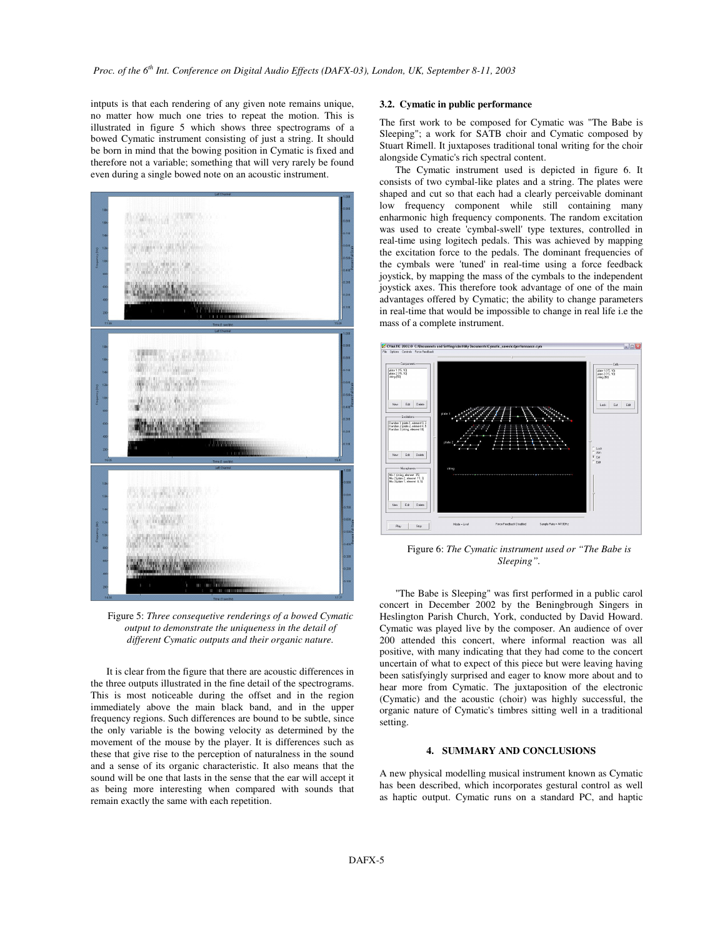intputs is that each rendering of any given note remains unique, no matter how much one tries to repeat the motion. This is illustrated in figure 5 which shows three spectrograms of a bowed Cymatic instrument consisting of just a string. It should be born in mind that the bowing position in Cymatic is fixed and therefore not a variable; something that will very rarely be found even during a single bowed note on an acoustic instrument.



Figure 5: *Three consequetive renderings of a bowed Cymatic output to demonstrate the uniqueness in the detail of different Cymatic outputs and their organic nature.*

It is clear from the figure that there are acoustic differences in the three outputs illustrated in the fine detail of the spectrograms. This is most noticeable during the offset and in the region immediately above the main black band, and in the upper frequency regions. Such differences are bound to be subtle, since the only variable is the bowing velocity as determined by the movement of the mouse by the player. It is differences such as these that give rise to the perception of naturalness in the sound and a sense of its organic characteristic. It also means that the sound will be one that lasts in the sense that the ear will accept it as being more interesting when compared with sounds that remain exactly the same with each repetition.

# **3.2. Cymatic in public performance**

The first work to be composed for Cymatic was "The Babe is Sleeping"; a work for SATB choir and Cymatic composed by Stuart Rimell. It juxtaposes traditional tonal writing for the choir alongside Cymatic's rich spectral content.

The Cymatic instrument used is depicted in figure 6. It consists of two cymbal-like plates and a string. The plates were shaped and cut so that each had a clearly perceivable dominant low frequency component while still containing many enharmonic high frequency components. The random excitation was used to create 'cymbal-swell' type textures, controlled in real-time using logitech pedals. This was achieved by mapping the excitation force to the pedals. The dominant frequencies of the cymbals were 'tuned'in real-time using a force feedback joystick, by mapping the mass of the cymbals to the independent joystick axes. This therefore took advantage of one of the main advantages offered by Cymatic; the ability to change parameters in real-time that would be impossible to change in real life i.e the mass of a complete instrument.



Figure 6: *The Cymatic instrument used or "The Babe is Sleeping".*

"The Babe is Sleeping" was first performed in a public carol concert in December 2002 by the Beningbrough Singers in Heslington Parish Church, York, conducted by David Howard. Cymatic was played live by the composer. An audience of over 200 attended this concert, where informal reaction was all positive, with many indicating that they had come to the concert uncertain of what to expect of this piece but were leaving having been satisfyingly surprised and eager to know more about and to hear more from Cymatic. The juxtaposition of the electronic (Cymatic) and the acoustic (choir) was highly successful, the organic nature of Cymatic's timbres sitting well in a traditional setting.

## **4. SUMMARY AND CONCLUSIONS**

A new physical modelling musical instrument known as Cymatic has been described, which incorporates gestural control as well as haptic output. Cymatic runs on a standard PC, and haptic